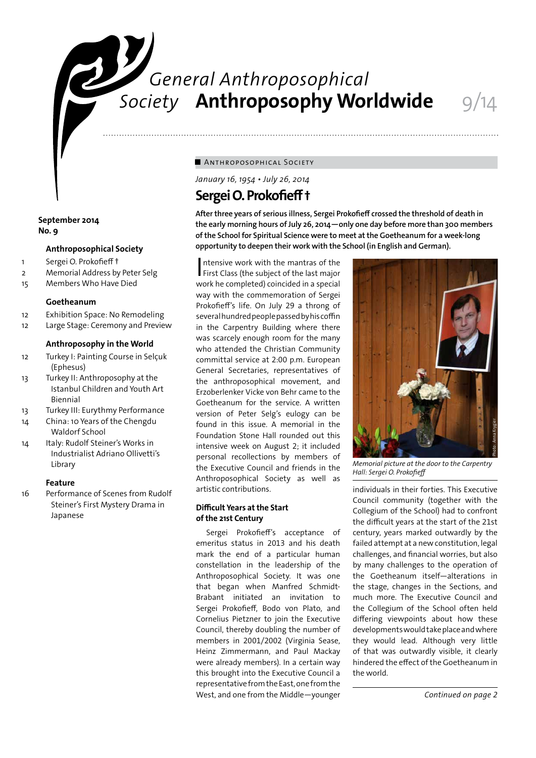# *General Anthroposophical* **Society Anthroposophy Worldwide** 9/14

## ■ ANTHROPOSOPHICAL SOCIETY

*January 16, 1954 • July 26, 2014* 

# **Sergei O. Prokofieff †**

**After three years of serious illness, Sergei Prokofieff crossed the threshold of death in the early morning hours of July 26, 2014—only one day before more than 300 members of the School for Spiritual Science were to meet at the Goetheanum for a week-long opportunity to deepen their work with the School (in English and German).**

Intensive work with the mantras of the<br>First Class (the subject of the last major ntensive work with the mantras of the work he completed) coincided in a special way with the commemoration of Sergei Prokofieff's life. On July 29 a throng of several hundred people passed by his coffin in the Carpentry Building where there was scarcely enough room for the many who attended the Christian Community committal service at 2:00 p.m. European General Secretaries, representatives of the anthroposophical movement, and Erzoberlenker Vicke von Behr came to the Goetheanum for the service. A written version of Peter Selg's eulogy can be found in this issue. A memorial in the Foundation Stone Hall rounded out this intensive week on August 2; it included personal recollections by members of the Executive Council and friends in the Anthroposophical Society as well as artistic contributions.

## **Difficult Years at the Start of the 21st Century**

Sergei Prokofieff's acceptance of emeritus status in 2013 and his death mark the end of a particular human constellation in the leadership of the Anthroposophical Society. It was one that began when Manfred Schmidt-Brabant initiated an invitation to Sergei Prokofieff, Bodo von Plato, and Cornelius Pietzner to join the Executive Council, thereby doubling the number of members in 2001/2002 (Virginia Sease, Heinz Zimmermann, and Paul Mackay were already members). In a certain way this brought into the Executive Council a representative from the East, one from the West, and one from the Middle—younger

*Memorial picture at the door to the Carpentry Hall: Sergei O. Prokofieff*

individuals in their forties. This Executive Council community (together with the Collegium of the School) had to confront the difficult years at the start of the 21st century, years marked outwardly by the failed attempt at a new constitution, legal challenges, and financial worries, but also by many challenges to the operation of the Goetheanum itself—alterations in the stage, changes in the Sections, and much more. The Executive Council and the Collegium of the School often held differing viewpoints about how these developments would take place and where they would lead. Although very little of that was outwardly visible, it clearly hindered the effect of the Goetheanum in the world. *Continued on page 2*<br> *Continued Continued and the Carpentry*<br> *Continued to confront*<br>
the start of the 21st<br>
continued outwardly by the<br>
ew constitution, legal<br>
and worries, but also<br>
to the operations in<br>
in the Sectio

## **September 2014 No. 9**

## **Anthroposophical Society**

- 1 Sergei O. Prokofieff †
- 2 Memorial Address by Peter Selg
- 15 Members Who Have Died

## **Goetheanum**

- 12 Exhibition Space: No Remodeling
- 12 Large Stage: Ceremony and Preview

## **Anthroposophy in the World**

- 12 Turkey I: Painting Course in Selçuk (Ephesus)
- 13 Turkey II: Anthroposophy at the Istanbul Children and Youth Art Biennial
- 13 Turkey III: Eurythmy Performance
- 14 China: 10 Years of the Chengdu Waldorf School
- 14 Italy: Rudolf Steiner's Works in Industrialist Adriano Ollivetti's Library

## **Feature**

16 Performance of Scenes from Rudolf Steiner's First Mystery Drama in Japanese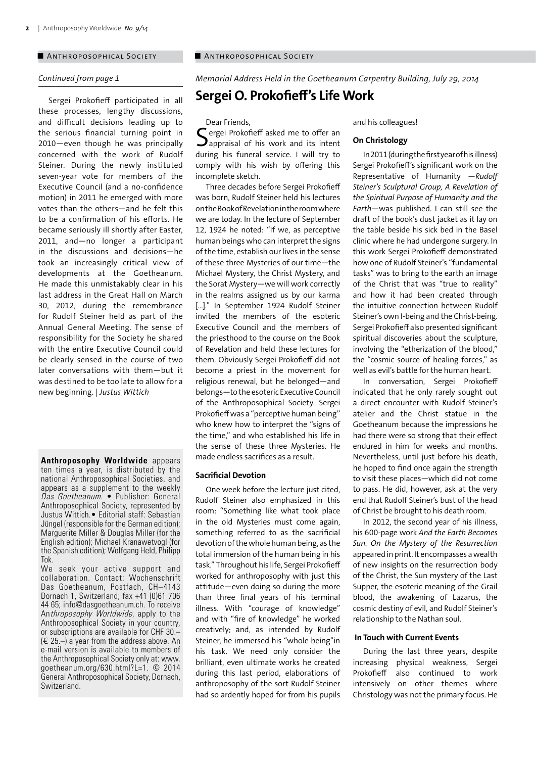#### ■ ANTHROPOSOPHICAL SOCIETY ■ ANTHROPOSOPHICAL SOCIETY

#### *Continued from page 1*

Sergei Prokofieff participated in all these processes, lengthy discussions, and difficult decisions leading up to the serious financial turning point in 2010—even though he was principally concerned with the work of Rudolf Steiner. During the newly instituted seven-year vote for members of the Executive Council (and a no-confidence motion) in 2011 he emerged with more votes than the others—and he felt this to be a confirmation of his efforts. He became seriously ill shortly after Easter, 2011, and—no longer a participant in the discussions and decisions—he took an increasingly critical view of developments at the Goetheanum. He made this unmistakably clear in his last address in the Great Hall on March 30, 2012, during the remembrance for Rudolf Steiner held as part of the Annual General Meeting. The sense of responsibility for the Society he shared with the entire Executive Council could be clearly sensed in the course of two later conversations with them—but it was destined to be too late to allow for a new beginning. | *Justus Wittich*

**Anthroposophy Worldwide** appears ten times a year, is distributed by the national Anthroposophical Societies, and appears as a supplement to the weekly *Das Goetheanum*. • Publisher: General Anthroposophical Society, represented by Justus Wittich.• Editorial staff: Sebastian Jüngel (responsible for the German edition); Marguerite Miller & Douglas Miller (for the English edition); Michael Kranawetvogl (for the Spanish edition); Wolfgang Held, Philipp Tok.

We seek your active support and collaboration. Contact: Wochenschrift Das Goetheanum, Postfach, CH–4143 Dornach 1, Switzerland; fax +41 (0)61 706 44 65; info@dasgoetheanum.ch. To receive Anthroposophy Worldwide, apply to the Anthroposophical Society in your country, or subscriptions are available for CHF 30.–  $(\in 25-)$  a year from the address above. An e-mail version is available to members of the Anthroposophical Society only at: www. goetheanum.org/630.html?L=1. © 2014 General Anthroposophical Society, Dornach, Switzerland.

*Memorial Address Held in the Goetheanum Carpentry Building, July 29, 2014*

# **Sergei O. Prokofieff's Life Work**

#### Dear Friends,

 $\Gamma$  ergei Prokofieff asked me to offer an  $\mathbf{\mathcal{J}}$  appraisal of his work and its intent during his funeral service. I will try to comply with his wish by offering this incomplete sketch.

Three decades before Sergei Prokofieff was born, Rudolf Steiner held his lectures on the Book of Revelation in the room where we are today. In the lecture of September 12, 1924 he noted: "If we, as perceptive human beings who can interpret the signs of the time, establish our lives in the sense of these three Mysteries of our time—the Michael Mystery, the Christ Mystery, and the Sorat Mystery—we will work correctly in the realms assigned us by our karma [...]." In September 1924 Rudolf Steiner invited the members of the esoteric Executive Council and the members of the priesthood to the course on the Book of Revelation and held these lectures for them. Obviously Sergei Prokofieff did not become a priest in the movement for religious renewal, but he belonged—and belongs—to the esoteric Executive Council of the Anthroposophical Society. Sergei Prokofieff was a "perceptive human being" who knew how to interpret the "signs of the time," and who established his life in the sense of these three Mysteries. He made endless sacrifices as a result.

## **Sacrificial Devotion**

One week before the lecture just cited, Rudolf Steiner also emphasized in this room: "Something like what took place in the old Mysteries must come again, something referred to as the sacrificial devotion of the whole human being, as the total immersion of the human being in his task." Throughout his life, Sergei Prokofieff worked for anthroposophy with just this attitude—even doing so during the more than three final years of his terminal illness. With "courage of knowledge" and with "fire of knowledge" he worked creatively; and, as intended by Rudolf Steiner, he immersed his "whole being"in his task. We need only consider the brilliant, even ultimate works he created during this last period, elaborations of anthroposophy of the sort Rudolf Steiner had so ardently hoped for from his pupils and his colleagues!

#### **On Christology**

In 2011 (during the first year of his illness) Sergei Prokofieff's significant work on the Representative of Humanity —*Rudolf Steiner's Sculptural Group, A Revelation of the Spiritual Purpose of Humanity and the Earth*—was published. I can still see the draft of the book's dust jacket as it lay on the table beside his sick bed in the Basel clinic where he had undergone surgery. In this work Sergei Prokofieff demonstrated how one of Rudolf Steiner's "fundamental tasks" was to bring to the earth an image of the Christ that was "true to reality" and how it had been created through the intuitive connection between Rudolf Steiner's own I-being and the Christ-being. Sergei Prokofieff also presented significant spiritual discoveries about the sculpture, involving the "etherization of the blood," the "cosmic source of healing forces," as well as evil's battle for the human heart.

In conversation, Sergei Prokofieff indicated that he only rarely sought out a direct encounter with Rudolf Steiner's atelier and the Christ statue in the Goetheanum because the impressions he had there were so strong that their effect endured in him for weeks and months. Nevertheless, until just before his death, he hoped to find once again the strength to visit these places—which did not come to pass. He did, however, ask at the very end that Rudolf Steiner's bust of the head of Christ be brought to his death room.

In 2012, the second year of his illness, his 600-page work *And the Earth Becomes Sun. On the Mystery of the Resurrection*  appeared in print. It encompasses a wealth of new insights on the resurrection body of the Christ, the Sun mystery of the Last Supper, the esoteric meaning of the Grail blood, the awakening of Lazarus, the cosmic destiny of evil, and Rudolf Steiner's relationship to the Nathan soul.

#### **In Touch with Current Events**

During the last three years, despite increasing physical weakness, Sergei Prokofieff also continued to work intensively on other themes where Christology was not the primary focus. He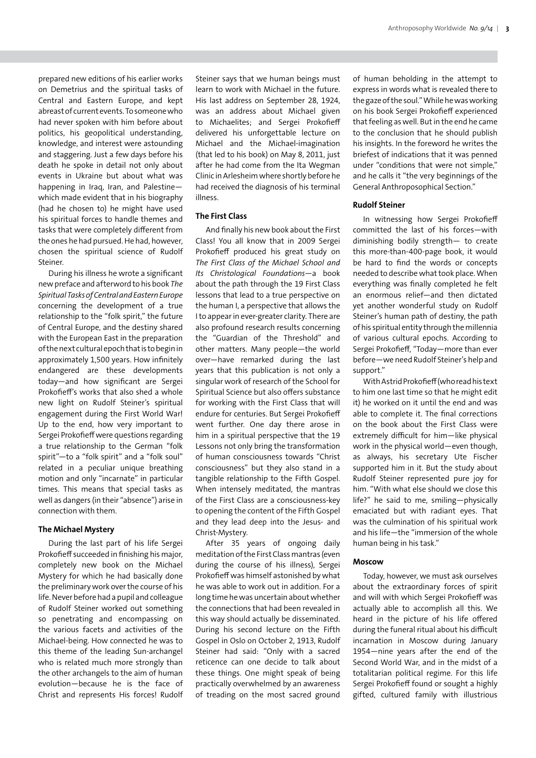prepared new editions of his earlier works on Demetrius and the spiritual tasks of Central and Eastern Europe, and kept abreast of current events. To someone who had never spoken with him before about politics, his geopolitical understanding, knowledge, and interest were astounding and staggering. Just a few days before his death he spoke in detail not only about events in Ukraine but about what was happening in Iraq, Iran, and Palestine which made evident that in his biography (had he chosen to) he might have used his spiritual forces to handle themes and tasks that were completely different from the ones he had pursued. He had, however, chosen the spiritual science of Rudolf Steiner.

During his illness he wrote a significant new preface and afterword to his book *The Spiritual Tasks of Central and Eastern Europe* concerning the development of a true relationship to the "folk spirit," the future of Central Europe, and the destiny shared with the European East in the preparation of the next cultural epoch that is to begin in approximately 1,500 years. How infinitely endangered are these developments today—and how significant are Sergei Prokofieff's works that also shed a whole new light on Rudolf Steiner's spiritual engagement during the First World War! Up to the end, how very important to Sergei Prokofieff were questions regarding a true relationship to the German "folk spirit"—to a "folk spirit" and a "folk soul" related in a peculiar unique breathing motion and only "incarnate" in particular times. This means that special tasks as well as dangers (in their "absence") arise in connection with them.

#### **The Michael Mystery**

During the last part of his life Sergei Prokofieff succeeded in finishing his major, completely new book on the Michael Mystery for which he had basically done the preliminary work over the course of his life. Never before had a pupil and colleague of Rudolf Steiner worked out something so penetrating and encompassing on the various facets and activities of the Michael-being. How connected he was to this theme of the leading Sun-archangel who is related much more strongly than the other archangels to the aim of human evolution—because he is the face of Christ and represents His forces! Rudolf Steiner says that we human beings must learn to work with Michael in the future. His last address on September 28, 1924, was an address about Michael given to Michaelites; and Sergei Prokofieff delivered his unforgettable lecture on Michael and the Michael-imagination (that led to his book) on May 8, 2011, just after he had come from the Ita Wegman Clinic in Arlesheim where shortly before he had received the diagnosis of his terminal illness.

## **The First Class**

And finally his new book about the First Class! You all know that in 2009 Sergei Prokofieff produced his great study on *The First Class of the Michael School and Its Christological Foundations*—a book about the path through the 19 First Class lessons that lead to a true perspective on the human I, a perspective that allows the I to appear in ever-greater clarity. There are also profound research results concerning the "Guardian of the Threshold" and other matters. Many people—the world over—have remarked during the last years that this publication is not only a singular work of research of the School for Spiritual Science but also offers substance for working with the First Class that will endure for centuries. But Sergei Prokofieff went further. One day there arose in him in a spiritual perspective that the 19 Lessons not only bring the transformation of human consciousness towards "Christ consciousness" but they also stand in a tangible relationship to the Fifth Gospel. When intensely meditated, the mantras of the First Class are a consciousness-key to opening the content of the Fifth Gospel and they lead deep into the Jesus- and Christ-Mystery.

After 35 years of ongoing daily meditation of the First Class mantras (even during the course of his illness), Sergei Prokofieff was himself astonished by what he was able to work out in addition. For a long time he was uncertain about whether the connections that had been revealed in this way should actually be disseminated. During his second lecture on the Fifth Gospel in Oslo on October 2, 1913, Rudolf Steiner had said: "Only with a sacred reticence can one decide to talk about these things. One might speak of being practically overwhelmed by an awareness of treading on the most sacred ground of human beholding in the attempt to express in words what is revealed there to the gaze of the soul." While he was working on his book Sergei Prokofieff experienced that feeling as well. But in the end he came to the conclusion that he should publish his insights. In the foreword he writes the briefest of indications that it was penned under "conditions that were not simple," and he calls it "the very beginnings of the General Anthroposophical Section."

#### **Rudolf Steiner**

In witnessing how Sergei Prokofieff committed the last of his forces—with diminishing bodily strength— to create this more-than-400-page book, it would be hard to find the words or concepts needed to describe what took place. When everything was finally completed he felt an enormous relief—and then dictated yet another wonderful study on Rudolf Steiner's human path of destiny, the path of his spiritual entity through the millennia of various cultural epochs. According to Sergei Prokofieff, "Today—more than ever before—we need Rudolf Steiner's help and support."

With Astrid Prokofieff (who read his text to him one last time so that he might edit it) he worked on it until the end and was able to complete it. The final corrections on the book about the First Class were extremely difficult for him—like physical work in the physical world—even though, as always, his secretary Ute Fischer supported him in it. But the study about Rudolf Steiner represented pure joy for him. "With what else should we close this life?" he said to me, smiling—physically emaciated but with radiant eyes. That was the culmination of his spiritual work and his life—the "immersion of the whole human being in his task."

#### **Moscow**

Today, however, we must ask ourselves about the extraordinary forces of spirit and will with which Sergei Prokofieff was actually able to accomplish all this. We heard in the picture of his life offered during the funeral ritual about his difficult incarnation in Moscow during January 1954—nine years after the end of the Second World War, and in the midst of a totalitarian political regime. For this life Sergei Prokofieff found or sought a highly gifted, cultured family with illustrious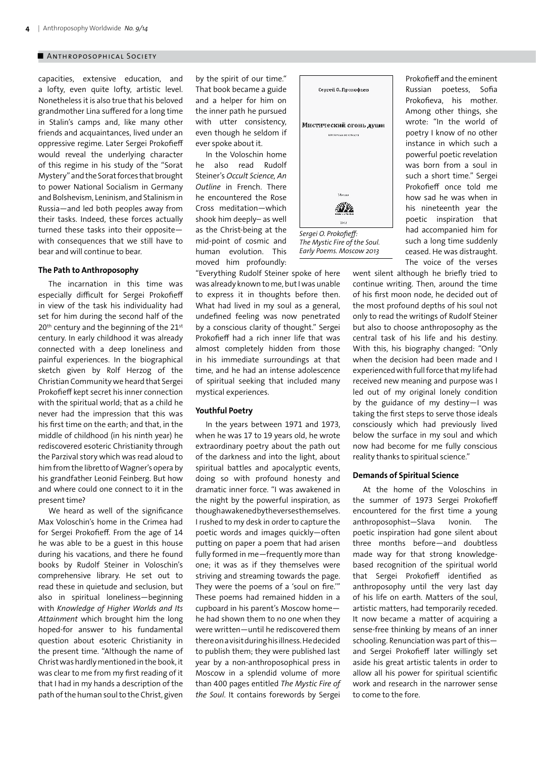capacities, extensive education, and a lofty, even quite lofty, artistic level. Nonetheless it is also true that his beloved grandmother Lina suffered for a long time in Stalin's camps and, like many other friends and acquaintances, lived under an oppressive regime. Later Sergei Prokofieff would reveal the underlying character of this regime in his study of the "Sorat Mystery" and the Sorat forces that brought to power National Socialism in Germany and Bolshevism, Leninism, and Stalinism in Russia—and led both peoples away from their tasks. Indeed, these forces actually turned these tasks into their opposite with consequences that we still have to bear and will continue to bear.

#### **The Path to Anthroposophy**

The incarnation in this time was especially difficult for Sergei Prokofieff in view of the task his individuality had set for him during the second half of the 20<sup>th</sup> century and the beginning of the 21<sup>st</sup> century. In early childhood it was already connected with a deep loneliness and painful experiences. In the biographical sketch given by Rolf Herzog of the Christian Community we heard that Sergei Prokofieff kept secret his inner connection with the spiritual world; that as a child he never had the impression that this was his first time on the earth; and that, in the middle of childhood (in his ninth year) he rediscovered esoteric Christianity through the Parzival story which was read aloud to him from the libretto of Wagner's opera by his grandfather Leonid Feinberg. But how and where could one connect to it in the present time?

We heard as well of the significance Max Voloschin's home in the Crimea had for Sergei Prokofieff. From the age of 14 he was able to be a guest in this house during his vacations, and there he found books by Rudolf Steiner in Voloschin's comprehensive library. He set out to read these in quietude and seclusion, but also in spiritual loneliness—beginning with *Knowledge of Higher Worlds and Its Attainment* which brought him the long hoped-for answer to his fundamental question about esoteric Christianity in the present time. "Although the name of Christ was hardly mentioned in the book, it was clear to me from my first reading of it that I had in my hands a description of the path of the human soul to the Christ, given by the spirit of our time." That book became a guide and a helper for him on the inner path he pursued with utter consistency, even though he seldom if ever spoke about it.

In the Voloschin home he also read Rudolf Steiner's *Occult Science, An Outline* in French. There he encountered the Rose Cross meditation—which shook him deeply– as well as the Christ-being at the mid-point of cosmic and human evolution. This moved him profoundly:

"Everything Rudolf Steiner spoke of here was already known to me, but I was unable to express it in thoughts before then. What had lived in my soul as a general, undefined feeling was now penetrated by a conscious clarity of thought." Sergei Prokofieff had a rich inner life that was almost completely hidden from those in his immediate surroundings at that time, and he had an intense adolescence of spiritual seeking that included many mystical experiences.

#### **Youthful Poetry**

In the years between 1971 and 1973, when he was 17 to 19 years old, he wrote extraordinary poetry about the path out of the darkness and into the light, about spiritual battles and apocalyptic events, doing so with profound honesty and dramatic inner force. "I was awakened in the night by the powerful inspiration, as though awakened by the verses themselves. I rushed to my desk in order to capture the poetic words and images quickly—often putting on paper a poem that had arisen fully formed in me—frequently more than one; it was as if they themselves were striving and streaming towards the page. They were the poems of a 'soul on fire.'" These poems had remained hidden in a cupboard in his parent's Moscow home he had shown them to no one when they were written—until he rediscovered them there on a visit during his illness. He decided to publish them; they were published last year by a non-anthroposophical press in Moscow in a splendid volume of more than 400 pages entitled *The Mystic Fire of the Soul*. It contains forewords by Sergei



*The Mystic Fire of the Soul. Early Poems. Moscow 2013*

Prokofieff and the eminent Russian poetess, Sofia Prokofieva, his mother. Among other things, she wrote: "In the world of poetry I know of no other instance in which such a powerful poetic revelation was born from a soul in such a short time." Sergei Prokofieff once told me how sad he was when in his nineteenth year the poetic inspiration that had accompanied him for such a long time suddenly ceased. He was distraught. The voice of the verses

went silent although he briefly tried to continue writing. Then, around the time of his first moon node, he decided out of the most profound depths of his soul not only to read the writings of Rudolf Steiner but also to choose anthroposophy as the central task of his life and his destiny. With this, his biography changed: "Only when the decision had been made and I experienced with full force that my life had received new meaning and purpose was I led out of my original lonely condition by the guidance of my destiny—I was taking the first steps to serve those ideals consciously which had previously lived below the surface in my soul and which now had become for me fully conscious reality thanks to spiritual science."

#### **Demands of Spiritual Science**

At the home of the Voloschins in the summer of 1973 Sergei Prokofieff encountered for the first time a young anthroposophist—Slava Ivonin. The poetic inspiration had gone silent about three months before—and doubtless made way for that strong knowledgebased recognition of the spiritual world that Sergei Prokofieff identified as anthroposophy until the very last day of his life on earth. Matters of the soul, artistic matters, had temporarily receded. It now became a matter of acquiring a sense-free thinking by means of an inner schooling. Renunciation was part of this and Sergei Prokofieff later willingly set aside his great artistic talents in order to allow all his power for spiritual scientific work and research in the narrower sense to come to the fore.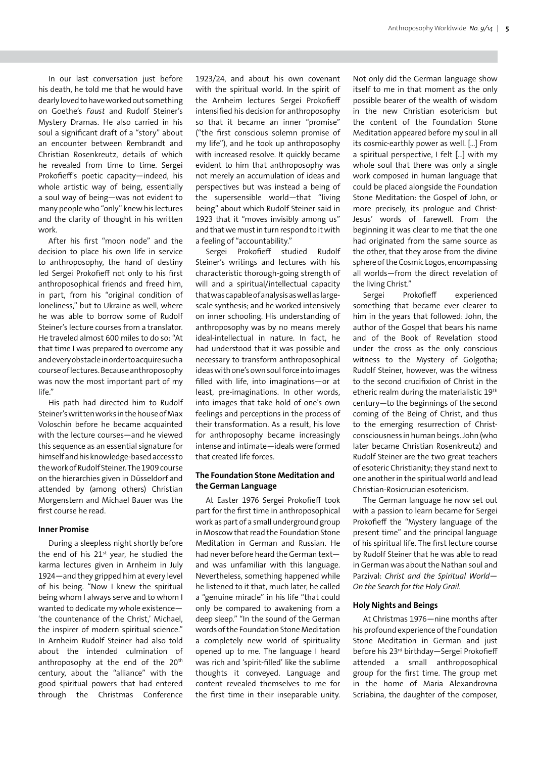In our last conversation just before his death, he told me that he would have dearly loved to have worked out something on Goethe's *Faust* and Rudolf Steiner's Mystery Dramas. He also carried in his soul a significant draft of a "story" about an encounter between Rembrandt and Christian Rosenkreutz, details of which he revealed from time to time. Sergei Prokofieff's poetic capacity—indeed, his whole artistic way of being, essentially a soul way of being—was not evident to many people who "only" knew his lectures and the clarity of thought in his written work.

After his first "moon node" and the decision to place his own life in service to anthroposophy, the hand of destiny led Sergei Prokofieff not only to his first anthroposophical friends and freed him, in part, from his "original condition of loneliness," but to Ukraine as well, where he was able to borrow some of Rudolf Steiner's lecture courses from a translator. He traveled almost 600 miles to do so: "At that time I was prepared to overcome any and every obstacle in order to acquire such a course of lectures. Because anthroposophy was now the most important part of my life."

His path had directed him to Rudolf Steiner's written works in the house of Max Voloschin before he became acquainted with the lecture courses—and he viewed this sequence as an essential signature for himself and his knowledge-based access to the work of Rudolf Steiner. The 1909 course on the hierarchies given in Düsseldorf and attended by (among others) Christian Morgenstern and Michael Bauer was the first course he read.

#### **Inner Promise**

During a sleepless night shortly before the end of his  $21^{st}$  year, he studied the karma lectures given in Arnheim in July 1924—and they gripped him at every level of his being. "Now I knew the spiritual being whom I always serve and to whom I wanted to dedicate my whole existence— 'the countenance of the Christ,' Michael, the inspirer of modern spiritual science." In Arnheim Rudolf Steiner had also told about the intended culmination of anthroposophy at the end of the 20<sup>th</sup> century, about the "alliance" with the good spiritual powers that had entered through the Christmas Conference 1923/24, and about his own covenant with the spiritual world. In the spirit of the Arnheim lectures Sergei Prokofieff intensified his decision for anthroposophy so that it became an inner "promise" ("the first conscious solemn promise of my life"), and he took up anthroposophy with increased resolve. It quickly became evident to him that anthroposophy was not merely an accumulation of ideas and perspectives but was instead a being of the supersensible world—that "living being" about which Rudolf Steiner said in 1923 that it "moves invisibly among us" and that we must in turn respond to it with a feeling of "accountability."

Sergei Prokofieff studied Rudolf Steiner's writings and lectures with his characteristic thorough-going strength of will and a spiritual/intellectual capacity that was capable of analysis as well as largescale synthesis; and he worked intensively on inner schooling. His understanding of anthroposophy was by no means merely ideal-intellectual in nature. In fact, he had understood that it was possible and necessary to transform anthroposophical ideas with one's own soul force into images filled with life, into imaginations—or at least, pre-imaginations. In other words, into images that take hold of one's own feelings and perceptions in the process of their transformation. As a result, his love for anthroposophy became increasingly intense and intimate—ideals were formed that created life forces.

## **The Foundation Stone Meditation and the German Language**

At Easter 1976 Sergei Prokofieff took part for the first time in anthroposophical work as part of a small underground group in Moscow that read the Foundation Stone Meditation in German and Russian. He had never before heard the German text and was unfamiliar with this language. Nevertheless, something happened while he listened to it that, much later, he called a "genuine miracle" in his life "that could only be compared to awakening from a deep sleep." "In the sound of the German words of the Foundation Stone Meditation a completely new world of spirituality opened up to me. The language I heard was rich and 'spirit-filled' like the sublime thoughts it conveyed. Language and content revealed themselves to me for the first time in their inseparable unity. Not only did the German language show itself to me in that moment as the only possible bearer of the wealth of wisdom in the new Christian esotericism but the content of the Foundation Stone Meditation appeared before my soul in all its cosmic-earthly power as well. […] From a spiritual perspective, I felt […] with my whole soul that there was only a single work composed in human language that could be placed alongside the Foundation Stone Meditation: the Gospel of John, or more precisely, its prologue and Christ-Jesus' words of farewell. From the beginning it was clear to me that the one had originated from the same source as the other, that they arose from the divine sphere of the Cosmic Logos, encompassing all worlds—from the direct revelation of the living Christ."

Sergei Prokofieff experienced something that became ever clearer to him in the years that followed: John, the author of the Gospel that bears his name and of the Book of Revelation stood under the cross as the only conscious witness to the Mystery of Golgotha; Rudolf Steiner, however, was the witness to the second crucifixion of Christ in the etheric realm during the materialistic 19th century—to the beginnings of the second coming of the Being of Christ, and thus to the emerging resurrection of Christconsciousness in human beings. John (who later became Christian Rosenkreutz) and Rudolf Steiner are the two great teachers of esoteric Christianity; they stand next to one another in the spiritual world and lead Christian-Rosicrucian esotericism.

The German language he now set out with a passion to learn became for Sergei Prokofieff the "Mystery language of the present time" and the principal language of his spiritual life. The first lecture course by Rudolf Steiner that he was able to read in German was about the Nathan soul and Parzival: *Christ and the Spiritual World— On the Search for the Holy Grail*.

#### **Holy Nights and Beings**

At Christmas 1976*—*nine months after his profound experience of the Foundation Stone Meditation in German and just before his 23rd birthday*—*Sergei Prokofieff attended a small anthroposophical group for the first time. The group met in the home of Maria Alexandrovna Scriabina, the daughter of the composer,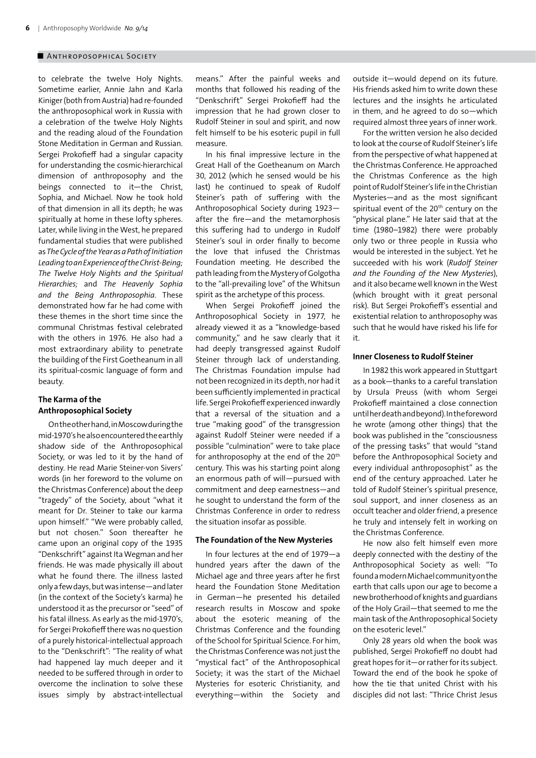to celebrate the twelve Holy Nights. Sometime earlier, Annie Jahn and Karla Kiniger (both from Austria) had re-founded the anthroposophical work in Russia with a celebration of the twelve Holy Nights and the reading aloud of the Foundation Stone Meditation in German and Russian. Sergei Prokofieff had a singular capacity for understanding the cosmic-hierarchical dimension of anthroposophy and the beings connected to it—the Christ, Sophia, and Michael. Now he took hold of that dimension in all its depth; he was spiritually at home in these lofty spheres. Later, while living in the West, he prepared fundamental studies that were published as *The Cycle of the Year as a Path of Initiation Leading to an Experience of the Christ-Being; The Twelve Holy Nights and the Spiritual Hierarchies;* and *The Heavenly Sophia and the Being Anthroposophia*. These demonstrated how far he had come with these themes in the short time since the communal Christmas festival celebrated with the others in 1976. He also had a most extraordinary ability to penetrate the building of the First Goetheanum in all its spiritual-cosmic language of form and beauty.

## **The Karma of the Anthroposophical Society**

On the other hand, in Moscow during the mid-1970's he also encountered the earthly shadow side of the Anthroposophical Society, or was led to it by the hand of destiny. He read Marie Steiner-von Sivers' words (in her foreword to the volume on the Christmas Conference) about the deep "tragedy" of the Society, about "what it meant for Dr. Steiner to take our karma upon himself." "We were probably called, but not chosen." Soon thereafter he came upon an original copy of the 1935 "Denkschrift" against Ita Wegman and her friends. He was made physically ill about what he found there. The illness lasted only a few days, but was intense—and later (in the context of the Society's karma) he understood it as the precursor or "seed" of his fatal illness. As early as the mid-1970's, for Sergei Prokofieff there was no question of a purely historical-intellectual approach to the "Denkschrift": "The reality of what had happened lay much deeper and it needed to be suffered through in order to overcome the inclination to solve these issues simply by abstract-intellectual

means." After the painful weeks and months that followed his reading of the "Denkschrift" Sergei Prokofieff had the impression that he had grown closer to Rudolf Steiner in soul and spirit, and now felt himself to be his esoteric pupil in full measure.

In his final impressive lecture in the Great Hall of the Goetheanum on March 30, 2012 (which he sensed would be his last) he continued to speak of Rudolf Steiner's path of suffering with the Anthroposophical Society during 1923 after the fire—and the metamorphosis this suffering had to undergo in Rudolf Steiner's soul in order finally to become the love that infused the Christmas Foundation meeting. He described the path leading from the Mystery of Golgotha to the "all-prevailing love" of the Whitsun spirit as the archetype of this process.

When Sergei Prokofieff joined the Anthroposophical Society in 1977, he already viewed it as a "knowledge-based community," and he saw clearly that it had deeply transgressed against Rudolf Steiner through lack of understanding. The Christmas Foundation impulse had not been recognized in its depth, nor had it been sufficiently implemented in practical life. Sergei Prokofieff experienced inwardly that a reversal of the situation and a true "making good" of the transgression against Rudolf Steiner were needed if a possible "culmination" were to take place for anthroposophy at the end of the 20<sup>th</sup> century. This was his starting point along an enormous path of will—pursued with commitment and deep earnestness—and he sought to understand the form of the Christmas Conference in order to redress the situation insofar as possible.

#### **The Foundation of the New Mysteries**

In four lectures at the end of 1979—a hundred years after the dawn of the Michael age and three years after he first heard the Foundation Stone Meditation in German—he presented his detailed research results in Moscow and spoke about the esoteric meaning of the Christmas Conference and the founding of the School for Spiritual Science. For him, the Christmas Conference was not just the "mystical fact" of the Anthroposophical Society; it was the start of the Michael Mysteries for esoteric Christianity, and everything—within the Society and outside it—would depend on its future. His friends asked him to write down these lectures and the insights he articulated in them, and he agreed to do so—which required almost three years of inner work.

For the written version he also decided to look at the course of Rudolf Steiner's life from the perspective of what happened at the Christmas Conference. He approached the Christmas Conference as the high point of Rudolf Steiner's life in the Christian Mysteries—and as the most significant spiritual event of the 20<sup>th</sup> century on the "physical plane." He later said that at the time (1980–1982) there were probably only two or three people in Russia who would be interested in the subject. Yet he succeeded with his work (*Rudolf Steiner and the Founding of the New Mysteries*), and it also became well known in the West (which brought with it great personal risk). But Sergei Prokofieff's essential and existential relation to anthroposophy was such that he would have risked his life for it.

#### **Inner Closeness to Rudolf Steiner**

In 1982 this work appeared in Stuttgart as a book—thanks to a careful translation by Ursula Preuss (with whom Sergei Prokofieff maintained a close connection until her death and beyond). In the foreword he wrote (among other things) that the book was published in the "consciousness of the pressing tasks" that would "stand before the Anthroposophical Society and every individual anthroposophist" as the end of the century approached. Later he told of Rudolf Steiner's spiritual presence, soul support, and inner closeness as an occult teacher and older friend, a presence he truly and intensely felt in working on the Christmas Conference.

He now also felt himself even more deeply connected with the destiny of the Anthroposophical Society as well: "To found a modern Michael community on the earth that calls upon our age to become a new brotherhood of knights and guardians of the Holy Grail—that seemed to me the main task of the Anthroposophical Society on the esoteric level."

Only 28 years old when the book was published, Sergei Prokofieff no doubt had great hopes for it—or rather for its subject. Toward the end of the book he spoke of how the tie that united Christ with his disciples did not last: "Thrice Christ Jesus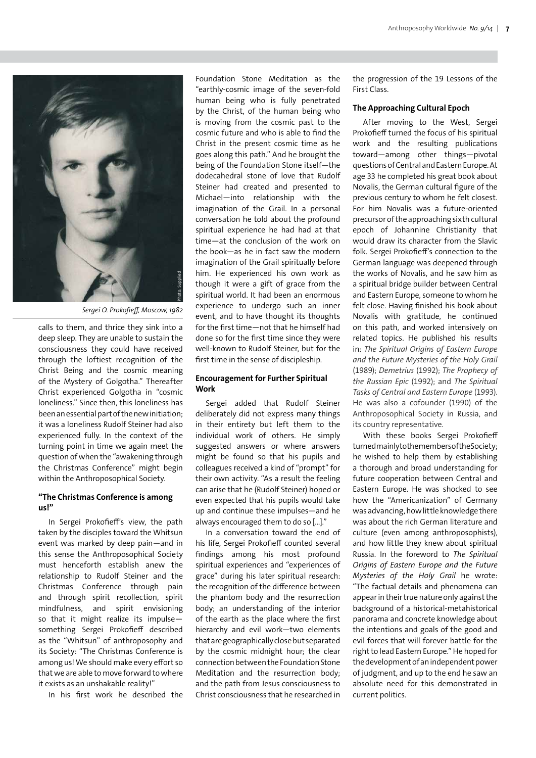

Sergei O. Prokofieff, Moscow, 1982

calls to them, and thrice they sink into a deep sleep. They are unable to sustain the consciousness they could have received through the loftiest recognition of the Christ Being and the cosmic meaning of the Mystery of Golgotha." Thereafter Christ experienced Golgotha in "cosmic loneliness." Since then, this loneliness has been an essential part of the new initiation; it was a loneliness Rudolf Steiner had also experienced fully. In the context of the turning point in time we again meet the question of when the "awakening through the Christmas Conference" might begin within the Anthroposophical Society.

## **"The Christmas Conference is among us!"**

In Sergei Prokofieff's view, the path taken by the disciples toward the Whitsun event was marked by deep pain—and in this sense the Anthroposophical Society must henceforth establish anew the relationship to Rudolf Steiner and the Christmas Conference through pain and through spirit recollection, spirit mindfulness, and spirit envisioning so that it might realize its impulse something Sergei Prokofieff described as the "Whitsun" of anthroposophy and its Society: "The Christmas Conference is among us! We should make every effort so that we are able to move forward to where it exists as an unshakable reality!"

In his first work he described the

Foundation Stone Meditation as the "earthly-cosmic image of the seven-fold human being who is fully penetrated by the Christ, of the human being who is moving from the cosmic past to the cosmic future and who is able to find the Christ in the present cosmic time as he goes along this path." And he brought the being of the Foundation Stone itself—the dodecahedral stone of love that Rudolf Steiner had created and presented to Michael—into relationship with the imagination of the Grail. In a personal conversation he told about the profound spiritual experience he had had at that time—at the conclusion of the work on the book—as he in fact saw the modern imagination of the Grail spiritually before him. He experienced his own work as though it were a gift of grace from the spiritual world. It had been an enormous experience to undergo such an inner event, and to have thought its thoughts for the first time—not that he himself had done so for the first time since they were well-known to Rudolf Steiner, but for the first time in the sense of discipleship.

## **Encouragement for Further Spiritual Work**

Sergei added that Rudolf Steiner deliberately did not express many things in their entirety but left them to the individual work of others. He simply suggested answers or where answers might be found so that his pupils and colleagues received a kind of "prompt" for their own activity. "As a result the feeling can arise that he (Rudolf Steiner) hoped or even expected that his pupils would take up and continue these impulses—and he always encouraged them to do so […]."

In a conversation toward the end of his life, Sergei Prokofieff counted several findings among his most profound spiritual experiences and "experiences of grace" during his later spiritual research: the recognition of the difference between the phantom body and the resurrection body; an understanding of the interior of the earth as the place where the first hierarchy and evil work—two elements that are geographically close but separated by the cosmic midnight hour; the clear connection between the Foundation Stone Meditation and the resurrection body; and the path from Jesus consciousness to Christ consciousness that he researched in the progression of the 19 Lessons of the First Class.

## **The Approaching Cultural Epoch**

After moving to the West, Sergei Prokofieff turned the focus of his spiritual work and the resulting publications toward—among other things—pivotal questions of Central and Eastern Europe. At age 33 he completed his great book about Novalis, the German cultural figure of the previous century to whom he felt closest. For him Novalis was a future-oriented precursor of the approaching sixth cultural epoch of Johannine Christianity that would draw its character from the Slavic folk. Sergei Prokofieff's connection to the German language was deepened through the works of Novalis, and he saw him as a spiritual bridge builder between Central and Eastern Europe, someone to whom he felt close. Having finished his book about Novalis with gratitude, he continued on this path, and worked intensively on related topics. He published his results in: *The Spiritual Origins of Eastern Europe and the Future Mysteries of the Holy Grail*  (1989); *Demetrius* (1992); *The Prophecy of the Russian Epic* (1992); and *The Spiritual Tasks of Central and Eastern Europe* (1993). He was also a cofounder (1990) of the Anthroposophical Society in Russia, and its country representative.

With these books Sergei Prokofieff turned mainly to the members of the Society; he wished to help them by establishing a thorough and broad understanding for future cooperation between Central and Eastern Europe. He was shocked to see how the "Americanization" of Germany was advancing, how little knowledge there was about the rich German literature and culture (even among anthroposophists), and how little they knew about spiritual Russia. In the foreword to *The Spiritual Origins of Eastern Europe and the Future Mysteries of the Holy Grail* he wrote: "The factual details and phenomena can appear in their true nature only against the background of a historical-metahistorical panorama and concrete knowledge about the intentions and goals of the good and evil forces that will forever battle for the right to lead Eastern Europe." He hoped for the development of an independent power of judgment, and up to the end he saw an absolute need for this demonstrated in current politics.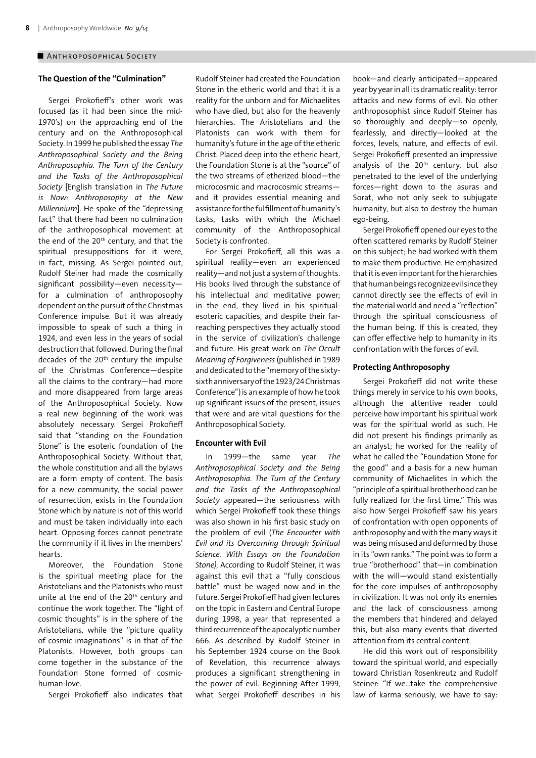## **The Question of the "Culmination"**

Sergei Prokofieff's other work was focused (as it had been since the mid-1970's) on the approaching end of the century and on the Anthroposophical Society. In 1999 he published the essay *The Anthroposophical Society and the Being Anthroposophia. The Turn of the Century and the Tasks of the Anthroposophical Society* [English translation in *The Future is Now: Anthroposophy at the New Millennium*]. He spoke of the "depressing fact" that there had been no culmination of the anthroposophical movement at the end of the 20<sup>th</sup> century, and that the spiritual presuppositions for it were, in fact, missing. As Sergei pointed out, Rudolf Steiner had made the cosmically significant possibility—even necessity for a culmination of anthroposophy dependent on the pursuit of the Christmas Conference impulse. But it was already impossible to speak of such a thing in 1924, and even less in the years of social destruction that followed. During the final decades of the 20<sup>th</sup> century the impulse of the Christmas Conference—despite all the claims to the contrary—had more and more disappeared from large areas of the Anthroposophical Society. Now a real new beginning of the work was absolutely necessary. Sergei Prokofieff said that "standing on the Foundation Stone" is the esoteric foundation of the Anthroposophical Society. Without that, the whole constitution and all the bylaws are a form empty of content. The basis for a new community, the social power of resurrection, exists in the Foundation Stone which by nature is not of this world and must be taken individually into each heart. Opposing forces cannot penetrate the community if it lives in the members' hearts.

Moreover, the Foundation Stone is the spiritual meeting place for the Aristotelians and the Platonists who must unite at the end of the 20th century and continue the work together. The "light of cosmic thoughts" is in the sphere of the Aristotelians, while the "picture quality of cosmic imaginations" is in that of the Platonists. However, both groups can come together in the substance of the Foundation Stone formed of cosmichuman-love.

Sergei Prokofieff also indicates that

Rudolf Steiner had created the Foundation Stone in the etheric world and that it is a reality for the unborn and for Michaelites who have died, but also for the heavenly hierarchies. The Aristotelians and the Platonists can work with them for humanity's future in the age of the etheric Christ. Placed deep into the etheric heart, the Foundation Stone is at the "source" of the two streams of etherized blood—the microcosmic and macrocosmic streams and it provides essential meaning and assistance for the fulfillment of humanity's tasks, tasks with which the Michael community of the Anthroposophical Society is confronted.

For Sergei Prokofieff, all this was a spiritual reality—even an experienced reality—and not just a system of thoughts. His books lived through the substance of his intellectual and meditative power; in the end, they lived in his spiritualesoteric capacities, and despite their farreaching perspectives they actually stood in the service of civilization's challenge and future. His great work on *The Occult Meaning of Forgiveness* (published in 1989 and dedicated to the "memory of the sixtysixth anniversary of the 1923/24 Christmas Conference") is an example of how he took up significant issues of the present, issues that were and are vital questions for the Anthroposophical Society.

#### **Encounter with Evil**

In 1999—the same year *The Anthroposophical Society and the Being Anthroposophia. The Turn of the Century and the Tasks of the Anthroposophical Society* appeared—the seriousness with which Sergei Prokofieff took these things was also shown in his first basic study on the problem of evil (*The Encounter with Evil and its Overcoming through Spiritual Science. With Essays on the Foundation Stone)*, According to Rudolf Steiner, it was against this evil that a "fully conscious battle" must be waged now and in the future. Sergei Prokofieff had given lectures on the topic in Eastern and Central Europe during 1998, a year that represented a third recurrence of the apocalyptic number 666. As described by Rudolf Steiner in his September 1924 course on the Book of Revelation, this recurrence always produces a significant strengthening in the power of evil. Beginning After 1999, what Sergei Prokofieff describes in his

book—and clearly anticipated—appeared year by year in all its dramatic reality: terror attacks and new forms of evil. No other anthroposophist since Rudolf Steiner has so thoroughly and deeply—so openly, fearlessly, and directly—looked at the forces, levels, nature, and effects of evil. Sergei Prokofieff presented an impressive analysis of the  $20<sup>th</sup>$  century, but also penetrated to the level of the underlying forces—right down to the asuras and Sorat, who not only seek to subjugate humanity, but also to destroy the human ego-being.

Sergei Prokofieff opened our eyes to the often scattered remarks by Rudolf Steiner on this subject; he had worked with them to make them productive. He emphasized that it is even important for the hierarchies that human beings recognize evil since they cannot directly see the effects of evil in the material world and need a "reflection" through the spiritual consciousness of the human being. If this is created, they can offer effective help to humanity in its confrontation with the forces of evil.

#### **Protecting Anthroposophy**

Sergei Prokofieff did not write these things merely in service to his own books, although the attentive reader could perceive how important his spiritual work was for the spiritual world as such. He did not present his findings primarily as an analyst; he worked for the reality of what he called the "Foundation Stone for the good" and a basis for a new human community of Michaelites in which the "principle of a spiritual brotherhood can be fully realized for the first time." This was also how Sergei Prokofieff saw his years of confrontation with open opponents of anthroposophy and with the many ways it was being misused and deformed by those in its "own ranks." The point was to form a true "brotherhood" that—in combination with the will—would stand existentially for the core impulses of anthroposophy in civilization. It was not only its enemies and the lack of consciousness among the members that hindered and delayed this, but also many events that diverted attention from its central content.

He did this work out of responsibility toward the spiritual world, and especially toward Christian Rosenkreutz and Rudolf Steiner: "If we…take the comprehensive law of karma seriously, we have to say: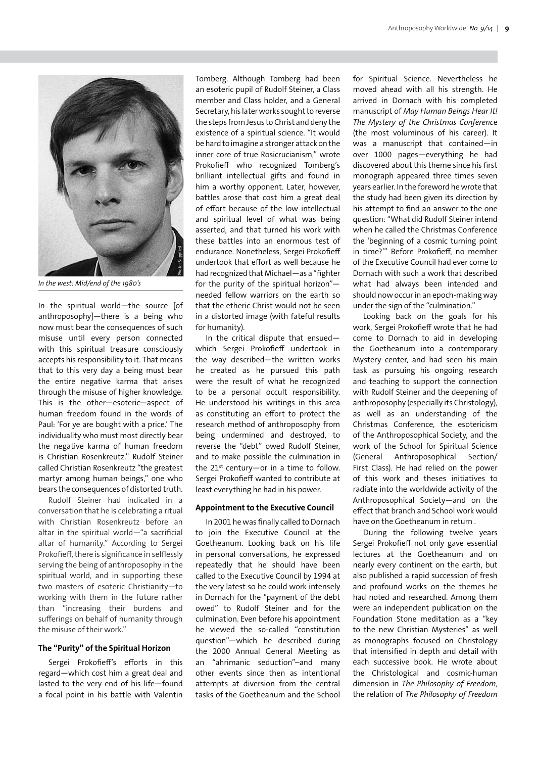

*In the west: Mid/end of the 1980's*

In the spiritual world—the source [of anthroposophy]—there is a being who now must bear the consequences of such misuse until every person connected with this spiritual treasure consciously accepts his responsibility to it. That means that to this very day a being must bear the entire negative karma that arises through the misuse of higher knowledge. This is the other—esoteric—aspect of human freedom found in the words of Paul: 'For ye are bought with a price.' The individuality who must most directly bear the negative karma of human freedom is Christian Rosenkreutz." Rudolf Steiner called Christian Rosenkreutz "the greatest martyr among human beings," one who bears the consequences of distorted truth.

Rudolf Steiner had indicated in a conversation that he is celebrating a ritual with Christian Rosenkreutz before an altar in the spiritual world—"a sacrificial altar of humanity." According to Sergei Prokofieff, there is significance in selflessly serving the being of anthroposophy in the spiritual world, and in supporting these two masters of esoteric Christianity—to working with them in the future rather than "increasing their burdens and sufferings on behalf of humanity through the misuse of their work."

#### **The "Purity" of the Spiritual Horizon**

Sergei Prokofieff's efforts in this regard—which cost him a great deal and lasted to the very end of his life—found a focal point in his battle with Valentin

Tomberg. Although Tomberg had been an esoteric pupil of Rudolf Steiner, a Class member and Class holder, and a General Secretary, his later works sought to reverse the steps from Jesus to Christ and deny the existence of a spiritual science. "It would be hard to imagine a stronger attack on the inner core of true Rosicrucianism," wrote Prokofieff who recognized Tomberg's brilliant intellectual gifts and found in him a worthy opponent. Later, however, battles arose that cost him a great deal of effort because of the low intellectual and spiritual level of what was being asserted, and that turned his work with these battles into an enormous test of endurance. Nonetheless, Sergei Prokofieff undertook that effort as well because he had recognized that Michael—as a "fighter for the purity of the spiritual horizon" needed fellow warriors on the earth so that the etheric Christ would not be seen in a distorted image (with fateful results for humanity).

In the critical dispute that ensued which Sergei Prokofieff undertook in the way described—the written works he created as he pursued this path were the result of what he recognized to be a personal occult responsibility. He understood his writings in this area as constituting an effort to protect the research method of anthroposophy from being undermined and destroyed, to reverse the "debt" owed Rudolf Steiner, and to make possible the culmination in the  $21^{st}$  century—or in a time to follow. Sergei Prokofieff wanted to contribute at least everything he had in his power.

## **Appointment to the Executive Council**

In 2001 he was finally called to Dornach to join the Executive Council at the Goetheanum. Looking back on his life in personal conversations, he expressed repeatedly that he should have been called to the Executive Council by 1994 at the very latest so he could work intensely in Dornach for the "payment of the debt owed" to Rudolf Steiner and for the culmination. Even before his appointment he viewed the so-called "constitution question"—which he described during the 2000 Annual General Meeting as an "ahrimanic seduction"–and many other events since then as intentional attempts at diversion from the central tasks of the Goetheanum and the School for Spiritual Science. Nevertheless he moved ahead with all his strength. He arrived in Dornach with his completed manuscript of *May Human Beings Hear It! The Mystery of the Christmas Conferenc*e (the most voluminous of his career). It was a manuscript that contained—in over 1000 pages—everything he had discovered about this theme since his first monograph appeared three times seven years earlier. In the foreword he wrote that the study had been given its direction by his attempt to find an answer to the one question: "What did Rudolf Steiner intend when he called the Christmas Conference the 'beginning of a cosmic turning point in time?'" Before Prokofieff, no member of the Executive Council had ever come to Dornach with such a work that described what had always been intended and should now occur in an epoch-making way under the sign of the "culmination."

Looking back on the goals for his work, Sergei Prokofieff wrote that he had come to Dornach to aid in developing the Goetheanum into a contemporary Mystery center, and had seen his main task as pursuing his ongoing research and teaching to support the connection with Rudolf Steiner and the deepening of anthroposophy (especially its Christology), as well as an understanding of the Christmas Conference, the esotericism of the Anthroposophical Society, and the work of the School for Spiritual Science (General Anthroposophical Section/ First Class). He had relied on the power of this work and theses initiatives to radiate into the worldwide activity of the Anthroposophical Society—and on the effect that branch and School work would have on the Goetheanum in return .

During the following twelve years Sergei Prokofieff not only gave essential lectures at the Goetheanum and on nearly every continent on the earth, but also published a rapid succession of fresh and profound works on the themes he had noted and researched. Among them were an independent publication on the Foundation Stone meditation as a "key to the new Christian Mysteries" as well as monographs focused on Christology that intensified in depth and detail with each successive book. He wrote about the Christological and cosmic-human dimension in *The Philosophy of Freedom*, the relation of *The Philosophy of Freedom*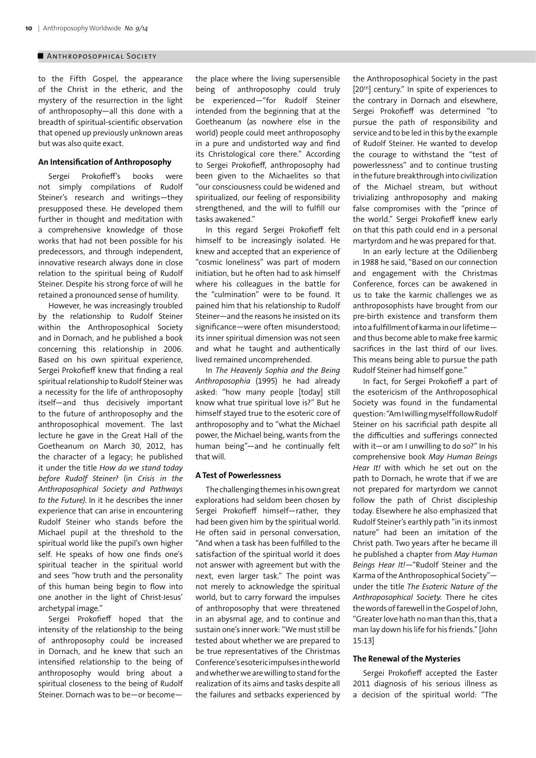## ■ Anthroposophical Society

to the Fifth Gospel, the appearance of the Christ in the etheric, and the mystery of the resurrection in the light of anthroposophy—all this done with a breadth of spiritual-scientific observation that opened up previously unknown areas but was also quite exact.

## **An Intensification of Anthroposophy**

Sergei Prokofieff's books were not simply compilations of Rudolf Steiner's research and writings—they presupposed these. He developed them further in thought and meditation with a comprehensive knowledge of those works that had not been possible for his predecessors, and through independent, innovative research always done in close relation to the spiritual being of Rudolf Steiner. Despite his strong force of will he retained a pronounced sense of humility.

However, he was increasingly troubled by the relationship to Rudolf Steiner within the Anthroposophical Society and in Dornach, and he published a book concerning this relationship in 2006. Based on his own spiritual experience, Sergei Prokofieff knew that finding a real spiritual relationship to Rudolf Steiner was a necessity for the life of anthroposophy itself—and thus decisively important to the future of anthroposophy and the anthroposophical movement. The last lecture he gave in the Great Hall of the Goetheanum on March 30, 2012, has the character of a legacy; he published it under the title *How do we stand today before Rudolf Steiner?* (in *Crisis in the Anthroposophical Society and Pathways to the Future)*. In it he describes the inner experience that can arise in encountering Rudolf Steiner who stands before the Michael pupil at the threshold to the spiritual world like the pupil's own higher self. He speaks of how one finds one's spiritual teacher in the spiritual world and sees "how truth and the personality of this human being begin to flow into one another in the light of Christ-Jesus' archetypal image."

Sergei Prokofieff hoped that the intensity of the relationship to the being of anthroposophy could be increased in Dornach, and he knew that such an intensified relationship to the being of anthroposophy would bring about a spiritual closeness to the being of Rudolf Steiner. Dornach was to be—or becomethe place where the living supersensible being of anthroposophy could truly be experienced—"for Rudolf Steiner intended from the beginning that at the Goetheanum (as nowhere else in the world) people could meet anthroposophy in a pure and undistorted way and find its Christological core there." According to Sergei Prokofieff, anthroposophy had been given to the Michaelites so that "our consciousness could be widened and spiritualized, our feeling of responsibility strengthened, and the will to fulfill our tasks awakened."

In this regard Sergei Prokofieff felt himself to be increasingly isolated. He knew and accepted that an experience of "cosmic loneliness" was part of modern initiation, but he often had to ask himself where his colleagues in the battle for the "culmination" were to be found. It pained him that his relationship to Rudolf Steiner—and the reasons he insisted on its significance—were often misunderstood; its inner spiritual dimension was not seen and what he taught and authentically lived remained uncomprehended.

In *The Heavenly Sophia and the Being Anthroposophia* (1995) he had already asked: "how many people [today] still know what true spiritual love is?" But he himself stayed true to the esoteric core of anthroposophy and to "what the Michael power, the Michael being, wants from the human being"—and he continually felt that will.

## **A Test of Powerlessness**

The challenging themes in his own great explorations had seldom been chosen by Sergei Prokofieff himself—rather, they had been given him by the spiritual world. He often said in personal conversation, "And when a task has been fulfilled to the satisfaction of the spiritual world it does not answer with agreement but with the next, even larger task." The point was not merely to acknowledge the spiritual world, but to carry forward the impulses of anthroposophy that were threatened in an abysmal age, and to continue and sustain one's inner work: "We must still be tested about whether we are prepared to be true representatives of the Christmas Conference's esoteric impulses in the world and whether we are willing to stand for the realization of its aims and tasks despite all the failures and setbacks experienced by the Anthroposophical Society in the past [20<sup>th</sup>] century." In spite of experiences to the contrary in Dornach and elsewhere, Sergei Prokofieff was determined "to pursue the path of responsibility and service and to be led in this by the example of Rudolf Steiner. He wanted to develop the courage to withstand the "test of powerlessness" and to continue trusting in the future breakthrough into civilization of the Michael stream, but without trivializing anthroposophy and making false compromises with the "prince of the world." Sergei Prokofieff knew early on that this path could end in a personal martyrdom and he was prepared for that.

In an early lecture at the Odilienberg in 1988 he said, "Based on our connection and engagement with the Christmas Conference, forces can be awakened in us to take the karmic challenges we as anthroposophists have brought from our pre-birth existence and transform them into a fulfillment of karma in our lifetime and thus become able to make free karmic sacrifices in the last third of our lives. This means being able to pursue the path Rudolf Steiner had himself gone."

In fact, for Sergei Prokofieff a part of the esotericism of the Anthroposophical Society was found in the fundamental question: "Am I willing myself follow Rudolf Steiner on his sacrificial path despite all the difficulties and sufferings connected with it—or am I unwilling to do so?" In his comprehensive book *May Human Beings Hear It!* with which he set out on the path to Dornach, he wrote that if we are not prepared for martyrdom we cannot follow the path of Christ discipleship today. Elsewhere he also emphasized that Rudolf Steiner's earthly path "in its inmost nature" had been an imitation of the Christ path. Two years after he became ill he published a chapter from *May Human Beings Hear It!*—"Rudolf Steiner and the Karma of the Anthroposophical Society" under the title *The Esoteric Nature of the Anthroposophical Society*. There he cites the words of farewell in the Gospel of John, "Greater love hath no man than this, that a man lay down his life for his friends." [John 15:13]

#### **The Renewal of the Mysteries**

Sergei Prokofieff accepted the Easter 2011 diagnosis of his serious illness as a decision of the spiritual world: "The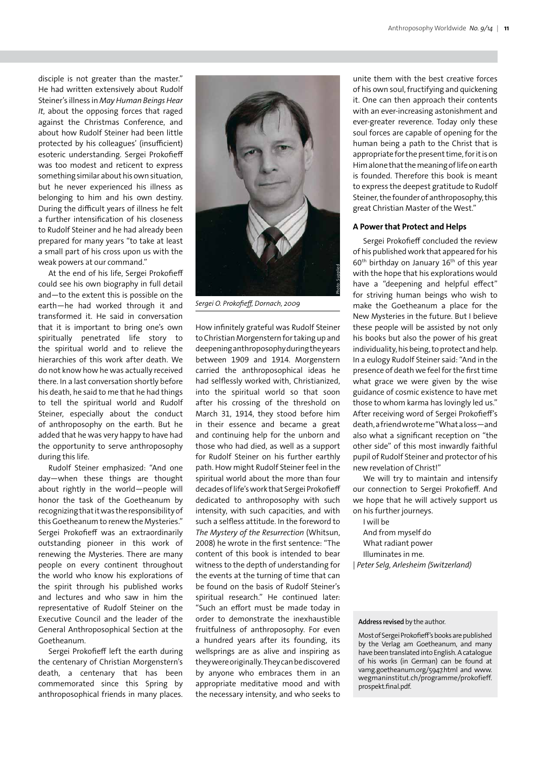disciple is not greater than the master." He had written extensively about Rudolf Steiner's illness in *May Human Beings Hear It*, about the opposing forces that raged against the Christmas Conference, and about how Rudolf Steiner had been little protected by his colleagues' (insufficient) esoteric understanding. Sergei Prokofieff was too modest and reticent to express something similar about his own situation, but he never experienced his illness as belonging to him and his own destiny. During the difficult years of illness he felt a further intensification of his closeness to Rudolf Steiner and he had already been prepared for many years "to take at least a small part of his cross upon us with the weak powers at our command."

At the end of his life, Sergei Prokofieff could see his own biography in full detail and—to the extent this is possible on the earth—he had worked through it and transformed it. He said in conversation that it is important to bring one's own spiritually penetrated life story to the spiritual world and to relieve the hierarchies of this work after death. We do not know how he was actually received there. In a last conversation shortly before his death, he said to me that he had things to tell the spiritual world and Rudolf Steiner, especially about the conduct of anthroposophy on the earth. But he added that he was very happy to have had the opportunity to serve anthroposophy during this life.

Rudolf Steiner emphasized: "And one day—when these things are thought about rightly in the world—people will honor the task of the Goetheanum by recognizing that it was the responsibility of this Goetheanum to renew the Mysteries." Sergei Prokofieff was an extraordinarily outstanding pioneer in this work of renewing the Mysteries. There are many people on every continent throughout the world who know his explorations of the spirit through his published works and lectures and who saw in him the representative of Rudolf Steiner on the Executive Council and the leader of the General Anthroposophical Section at the Goetheanum.

Sergei Prokofieff left the earth during the centenary of Christian Morgenstern's death, a centenary that has been commemorated since this Spring by anthroposophical friends in many places.



*Sergei O. Prokofieff, Dornach, 2009*

How infinitely grateful was Rudolf Steiner to Christian Morgenstern for taking up and deepening anthroposophy during the years between 1909 and 1914. Morgenstern carried the anthroposophical ideas he had selflessly worked with, Christianized, into the spiritual world so that soon after his crossing of the threshold on March 31, 1914, they stood before him in their essence and became a great and continuing help for the unborn and those who had died, as well as a support for Rudolf Steiner on his further earthly path. How might Rudolf Steiner feel in the spiritual world about the more than four decades of life's work that Sergei Prokofieff dedicated to anthroposophy with such intensity, with such capacities, and with such a selfless attitude. In the foreword to *The Mystery of the Resurrection* (Whitsun, 2008) he wrote in the first sentence: "The content of this book is intended to bear witness to the depth of understanding for the events at the turning of time that can be found on the basis of Rudolf Steiner's spiritual research." He continued later: "Such an effort must be made today in order to demonstrate the inexhaustible fruitfulness of anthroposophy. For even a hundred years after its founding, its wellsprings are as alive and inspiring as they were originally. They can be discovered by anyone who embraces them in an appropriate meditative mood and with the necessary intensity, and who seeks to

unite them with the best creative forces of his own soul, fructifying and quickening it. One can then approach their contents with an ever-increasing astonishment and ever-greater reverence. Today only these soul forces are capable of opening for the human being a path to the Christ that is appropriate for the present time, for it is on Him alone that the meaning of life on earth is founded. Therefore this book is meant to express the deepest gratitude to Rudolf Steiner, the founder of anthroposophy, this great Christian Master of the West."

#### **A Power that Protect and Helps**

Sergei Prokofieff concluded the review of his published work that appeared for his  $60<sup>th</sup>$  birthday on January  $16<sup>th</sup>$  of this year with the hope that his explorations would have a "deepening and helpful effect" for striving human beings who wish to make the Goetheanum a place for the New Mysteries in the future. But I believe these people will be assisted by not only his books but also the power of his great individuality, his being, to protect and help. In a eulogy Rudolf Steiner said: "And in the presence of death we feel for the first time what grace we were given by the wise guidance of cosmic existence to have met those to whom karma has lovingly led us." After receiving word of Sergei Prokofieff's death, a friend wrote me "What a loss—and also what a significant reception on "the other side" of this most inwardly faithful pupil of Rudolf Steiner and protector of his new revelation of Christ!"

We will try to maintain and intensify our connection to Sergei Prokofieff. And we hope that he will actively support us on his further journeys.

I will be And from myself do What radiant power Illuminates in me. | *Peter Selg, Arlesheim (Switzerland)*

#### **Address revised** by the author.

Most of Sergei Prokofieff's books are published by the Verlag am Goetheanum, and many have been translated into English. A catalogue of his works (in German) can be found at vamg.goetheanum.org/5947.html and www. wegmaninstitut.ch/programme/prokofieff. prospekt.final.pdf.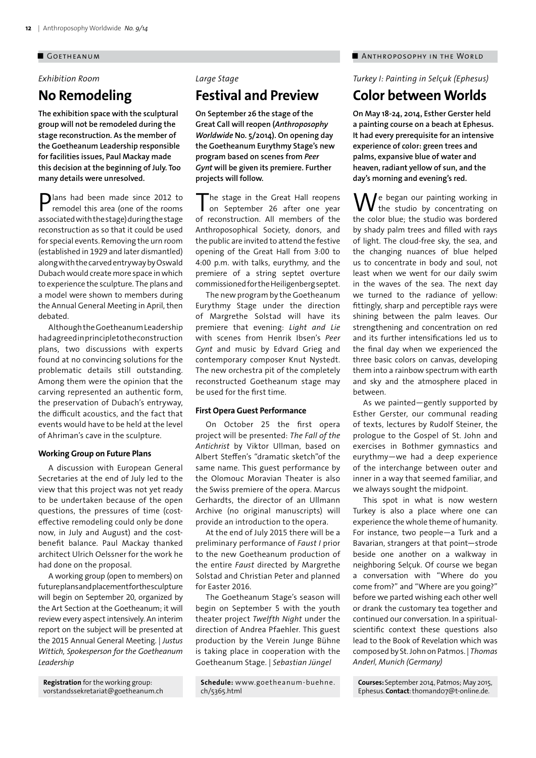#### ■ Goetheanum

## *Exhibition Room*

# **No Remodeling**

**The exhibition space with the sculptural group will not be remodeled during the stage reconstruction. As the member of the Goetheanum Leadership responsible for facilities issues, Paul Mackay made this decision at the beginning of July. Too many details were unresolved.**

Plans had been made since 2012 to remodel this area (one of the rooms associated with the stage) during the stage reconstruction as so that it could be used for special events. Removing the urn room (established in 1929 and later dismantled) along with the carved entryway by Oswald Dubach would create more space in which to experience the sculpture. The plans and a model were shown to members during the Annual General Meeting in April, then debated.

Although the Goetheanum Leadership had agreed in principle to the construction plans, two discussions with experts found at no convincing solutions for the problematic details still outstanding. Among them were the opinion that the carving represented an authentic form, the preservation of Dubach's entryway, the difficult acoustics, and the fact that events would have to be held at the level of Ahriman's cave in the sculpture.

#### **Working Group on Future Plans**

A discussion with European General Secretaries at the end of July led to the view that this project was not yet ready to be undertaken because of the open questions, the pressures of time (costeffective remodeling could only be done now, in July and August) and the costbenefit balance. Paul Mackay thanked architect Ulrich Oelssner for the work he had done on the proposal.

A working group (open to members) on future plans and placement for the sculpture will begin on September 20, organized by the Art Section at the Goetheanum; it will review every aspect intensively. An interim report on the subject will be presented at the 2015 Annual General Meeting. | *Justus Wittich, Spokesperson for the Goetheanum Leadership*

**Registration** for the working group: vorstandssekretariat@goetheanum.ch

# *Large Stage*

**Festival and Preview**

**On September 26 the stage of the Great Call will reopen (***Anthroposophy Worldwide* **No. 5/2014). On opening day the Goetheanum Eurythmy Stage's new program based on scenes from** *Peer Gynt* **will be given its premiere. Further projects will follow.**

The stage in the Great Hall reopens on September 26 after one year of reconstruction. All members of the Anthroposophical Society, donors, and the public are invited to attend the festive opening of the Great Hall from 3:00 to 4:00 p.m. with talks, eurythmy, and the premiere of a string septet overture commissioned for the Heiligenberg septet.

The new program by the Goetheanum Eurythmy Stage under the direction of Margrethe Solstad will have its premiere that evening: *Light and Lie* with scenes from Henrik Ibsen's *Peer Gynt* and music by Edvard Grieg and contemporary composer Knut Nystedt. The new orchestra pit of the completely reconstructed Goetheanum stage may be used for the first time.

#### **First Opera Guest Performance**

On October 25 the first opera project will be presented: *The Fall of the Antichrist* by Viktor Ullman, based on Albert Steffen's "dramatic sketch"of the same name. This guest performance by the Olomouc Moravian Theater is also the Swiss premiere of the opera. Marcus Gerhardts, the director of an Ullmann Archive (no original manuscripts) will provide an introduction to the opera.

At the end of July 2015 there will be a preliminary performance of *Faust I* prior to the new Goetheanum production of the entire *Faust* directed by Margrethe Solstad and Christian Peter and planned for Easter 2016.

The Goetheanum Stage's season will begin on September 5 with the youth theater project *Twelfth Night* under the direction of Andrea Pfaehler. This guest production by the Verein Junge Bühne is taking place in cooperation with the Goetheanum Stage. | *Sebastian Jüngel*

## ■ ANTHROPOSOPHY IN THE WORLD

*Turkey I: Painting in Sel*ç*uk (Ephesus)*

# **Color between Worlds**

**On May 18-24, 2014, Esther Gerster held a painting course on a beach at Ephesus. It had every prerequisite for an intensive experience of color: green trees and palms, expansive blue of water and heaven, radiant yellow of sun, and the day's morning and evening's red.**

 $\Lambda$ /e began our painting working in the studio by concentrating on the color blue; the studio was bordered by shady palm trees and filled with rays of light. The cloud-free sky, the sea, and the changing nuances of blue helped us to concentrate in body and soul, not least when we went for our daily swim in the waves of the sea. The next day we turned to the radiance of yellow: fittingly, sharp and perceptible rays were shining between the palm leaves. Our strengthening and concentration on red and its further intensifications led us to the final day when we experienced the three basic colors on canvas, developing them into a rainbow spectrum with earth and sky and the atmosphere placed in between.

As we painted—gently supported by Esther Gerster, our communal reading of texts, lectures by Rudolf Steiner, the prologue to the Gospel of St. John and exercises in Bothmer gymnastics and eurythmy—we had a deep experience of the interchange between outer and inner in a way that seemed familiar, and we always sought the midpoint.

This spot in what is now western Turkey is also a place where one can experience the whole theme of humanity. For instance, two people—a Turk and a Bavarian, strangers at that point—strode beside one another on a walkway in neighboring Selçuk. Of course we began a conversation with "Where do you come from?" and "Where are you going?" before we parted wishing each other well or drank the customary tea together and continued our conversation. In a spiritualscientific context these questions also lead to the Book of Revelation which was composed by St. John on Patmos. | *Thomas Anderl, Munich (Germany)*

**Courses:**September 2014, Patmos; May 2015, Ephesus.**Contact**:thomand07@t-online.de.

**Schedule:** www.goetheanum-buehne. ch/5365.html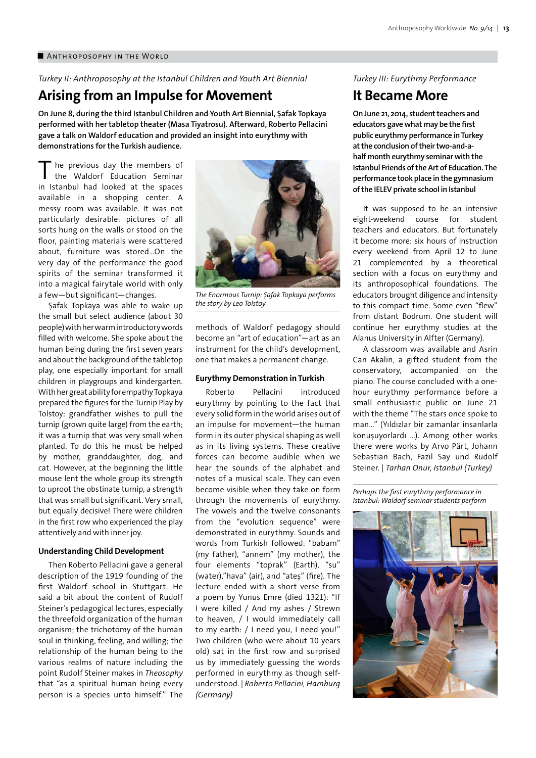#### ■ ANTHROPOSOPHY IN THE WORLD

*Turkey II: Anthroposophy at the Istanbul Children and Youth Art Biennial*

# **Arising from an Impulse for Movement**

**On June 8, during the third Istanbul Children and Youth Art Biennial, Şafak Topkaya performed with her tabletop theater (Masa Tiyatrosu). Afterward, Roberto Pellacini gave a talk on Waldorf education and provided an insight into eurythmy with demonstrations for the Turkish audience.**

he previous day the members of the Waldorf Education Seminar in Istanbul had looked at the spaces available in a shopping center. A messy room was available. It was not particularly desirable: pictures of all sorts hung on the walls or stood on the floor, painting materials were scattered about, furniture was stored…On the very day of the performance the good spirits of the seminar transformed it into a magical fairytale world with only a few—but significant—changes.

Safak Topkaya was able to wake up the small but select audience (about 30 people) with her warm introductory words filled with welcome. She spoke about the human being during the first seven years and about the background of the tabletop play, one especially important for small children in playgroups and kindergarten. With her great ability for empathy Topkaya prepared the figures for the Turnip Play by Tolstoy: grandfather wishes to pull the turnip (grown quite large) from the earth; it was a turnip that was very small when planted. To do this he must be helped by mother, granddaughter, dog, and cat. However, at the beginning the little mouse lent the whole group its strength to uproot the obstinate turnip, a strength that was small but significant. Very small, but equally decisive! There were children in the first row who experienced the play attentively and with inner joy.

#### **Understanding Child Development**

Then Roberto Pellacini gave a general description of the 1919 founding of the first Waldorf school in Stuttgart. He said a bit about the content of Rudolf Steiner's pedagogical lectures, especially the threefold organization of the human organism; the trichotomy of the human soul in thinking, feeling, and willing; the relationship of the human being to the various realms of nature including the point Rudolf Steiner makes in *Theosophy* that "as a spiritual human being every person is a species unto himself." The



*The Enormous Turnip: Şafak Topkaya performs the story by Leo Tolstoy*

methods of Waldorf pedagogy should become an "art of education"—art as an instrument for the child's development, one that makes a permanent change.

## **Eurythmy Demonstration in Turkish**

Roberto Pellacini introduced eurythmy by pointing to the fact that every solid form in the world arises out of an impulse for movement—the human form in its outer physical shaping as well as in its living systems. These creative forces can become audible when we hear the sounds of the alphabet and notes of a musical scale. They can even become visible when they take on form through the movements of eurythmy. The vowels and the twelve consonants from the "evolution sequence" were demonstrated in eurythmy. Sounds and words from Turkish followed: "babam" (my father), "annem" (my mother), the four elements "toprak" (Earth), "su" (water),"hava" (air), and "ateș" (fire). The lecture ended with a short verse from a poem by Yunus Emre (died 1321): "If I were killed / And my ashes / Strewn to heaven, / I would immediately call to my earth: / I need you, I need you!" Two children (who were about 10 years old) sat in the first row and surprised us by immediately guessing the words performed in eurythmy as though selfunderstood. | *Roberto Pellacini, Hamburg (Germany)*

## *Turkey III: Eurythmy Performance*

## **It Became More**

**On June 21, 2014, student teachers and educators gave what may be the first public eurythmy performance in Turkey at the conclusion of their two-and-ahalf month eurythmy seminar with the Istanbul Friends of the Art of Education. The performance took place in the gymnasium of the IELEV private school in Istanbul**

It was supposed to be an intensive eight-weekend course for student teachers and educators. But fortunately it become more: six hours of instruction every weekend from April 12 to June 21 complemented by a theoretical section with a focus on eurythmy and its anthroposophical foundations. The educators brought diligence and intensity to this compact time. Some even "flew" from distant Bodrum. One student will continue her eurythmy studies at the Alanus University in Alfter (Germany).

A classroom was available and Asrin Can Akalin, a gifted student from the conservatory, accompanied on the piano. The course concluded with a onehour eurythmy performance before a small enthusiastic public on June 21 with the theme "The stars once spoke to man…" (Yıldızlar bir zamanlar insanlarla konușuyorlardı …). Among other works there were works by Arvo Pärt, Johann Sebastian Bach, Fazıl Say und Rudolf Steiner. | *Tarhan Onur, Istanbul (Turkey)*

*Perhaps the first eurythmy performance in Istanbul: Waldorf seminar students perform*

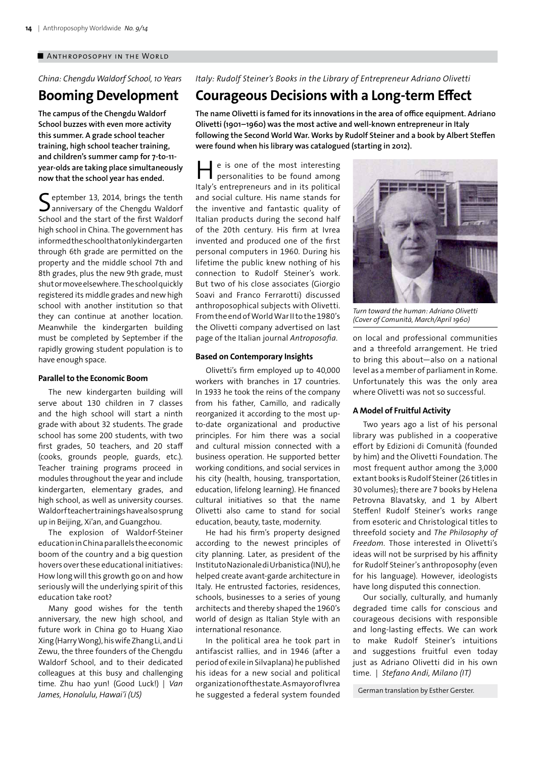## ■ ANTHROPOSOPHY IN THE WORLD

*China: Chengdu Waldorf School, 10 Years*

# **Booming Development**

**The campus of the Chengdu Waldorf School buzzes with even more activity this summer. A grade school teacher training, high school teacher training, and children's summer camp for 7-to-11 year-olds are taking place simultaneously now that the school year has ended.**

September 13, 2014, brings the tenth  $\mathbf{\mathcal{S}}$  anniversary of the Chengdu Waldorf School and the start of the first Waldorf high school in China. The government has informed the school that only kindergarten through 6th grade are permitted on the property and the middle school 7th and 8th grades, plus the new 9th grade, must shut or move elsewhere. The school quickly registered its middle grades and new high school with another institution so that they can continue at another location. Meanwhile the kindergarten building must be completed by September if the rapidly growing student population is to have enough space.

#### **Parallel to the Economic Boom**

The new kindergarten building will serve about 130 children in 7 classes and the high school will start a ninth grade with about 32 students. The grade school has some 200 students, with two first grades, 50 teachers, and 20 staff (cooks, grounds people, guards, etc.). Teacher training programs proceed in modules throughout the year and include kindergarten, elementary grades, and high school, as well as university courses. Waldorf teacher trainings have also sprung up in Beijing, Xi'an, and Guangzhou.

The explosion of Waldorf-Steiner education in China parallels the economic boom of the country and a big question hovers over these educational initiatives: How long will this growth go on and how seriously will the underlying spirit of this education take root?

Many good wishes for the tenth anniversary, the new high school, and future work in China go to Huang Xiao Xing (Harry Wong), his wife Zhang Li, and Li Zewu, the three founders of the Chengdu Waldorf School, and to their dedicated colleagues at this busy and challenging time. Zhu hao yun! (Good Luck!) | *Van James, Honolulu, Hawai'i (US)*

## *Italy: Rudolf Steiner's Books in the Library of Entrepreneur Adriano Olivetti*

# **Courageous Decisions with a Long-term Effect**

**The name Olivetti is famed for its innovations in the area of office equipment. Adriano Olivetti (1901–1960) was the most active and well-known entrepreneur in Italy following the Second World War. Works by Rudolf Steiner and a book by Albert Steffen were found when his library was catalogued (starting in 2012).**

e is one of the most interesting personalities to be found among Italy's entrepreneurs and in its political and social culture. His name stands for the inventive and fantastic quality of Italian products during the second half of the 20th century. His firm at Ivrea invented and produced one of the first personal computers in 1960. During his lifetime the public knew nothing of his connection to Rudolf Steiner's work. But two of his close associates (Giorgio Soavi and Franco Ferrarotti) discussed anthroposophical subjects with Olivetti. From the end of World War II to the 1980's the Olivetti company advertised on last page of the Italian journal *Antroposofia*.

#### **Based on Contemporary Insights**

Olivetti's firm employed up to 40,000 workers with branches in 17 countries. In 1933 he took the reins of the company from his father, Camillo, and radically reorganized it according to the most upto-date organizational and productive principles. For him there was a social and cultural mission connected with a business operation. He supported better working conditions, and social services in his city (health, housing, transportation, education, lifelong learning). He financed cultural initiatives so that the name Olivetti also came to stand for social education, beauty, taste, modernity.

He had his firm's property designed according to the newest principles of city planning. Later, as president of the Instituto Nazionale di Urbanistica (INU), he helped create avant-garde architecture in Italy. He entrusted factories, residences, schools, businesses to a series of young architects and thereby shaped the 1960's world of design as Italian Style with an international resonance.

In the political area he took part in antifascist rallies, and in 1946 (after a period of exile in Silvaplana) he published his ideas for a new social and political organization of the state. As mayor of Ivrea he suggested a federal system founded



*Turn toward the human: Adriano Olivetti (Cover of Comunità, March/April 1960)*

on local and professional communities and a threefold arrangement. He tried to bring this about—also on a national level as a member of parliament in Rome. Unfortunately this was the only area where Olivetti was not so successful.

#### **A Model of Fruitful Activity**

Two years ago a list of his personal library was published in a cooperative effort by Edizioni di Comunità (founded by him) and the Olivetti Foundation. The most frequent author among the 3,000 extant books is Rudolf Steiner (26 titles in 30 volumes); there are 7 books by Helena Petrovna Blavatsky, and 1 by Albert Steffen! Rudolf Steiner's works range from esoteric and Christological titles to threefold society and *The Philosophy of Freedom*. Those interested in Olivetti's ideas will not be surprised by his affinity for Rudolf Steiner's anthroposophy (even for his language). However, ideologists have long disputed this connection.

Our socially, culturally, and humanly degraded time calls for conscious and courageous decisions with responsible and long-lasting effects. We can work to make Rudolf Steiner's intuitions and suggestions fruitful even today just as Adriano Olivetti did in his own time. | *Stefano Andi, Milano (IT)*

German translation by Esther Gerster.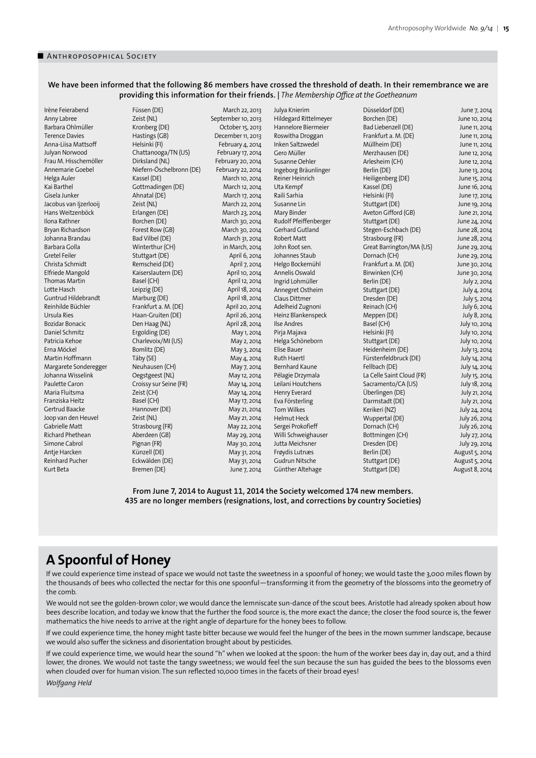## **We have been informed that the following 86 members have crossed the threshold of death. In their remembrance we are providing this information for their friends. |** *The Membership Office at the Goetheanum*

Kurt Beta Bremen (DE) June 7, 2014

Irène Feierabend Füssen (DE) March 22, 2013 Anny Labree **2eist (NL) Camelogy Camelogy Constant Constant Constant Constant Constant Constant Constant Constant Constant Constant Constant Constant Constant Constant Constant Constant Constant Constant Constant Con** Terence Davies Hastings (GB) December 11, 2013 Anna-Liisa Mattsoff Helsinki (FI) February 4, 2014 Julyan Norwood Chattanooga/TN (US) February 17, 2014 Frau M. Hisschemöller Dirksland (NL) February 20, 2014 Annemarie Goebel Niefern-Öschelbronn (DE) February 22, 2014 Helga Auler **Kassel** (DE) March 10, 2014 Kai Barthel **Gottmadingen** (DE) March 12, 2014 Gisela Junker Ahnatal (DE) March 17, 2014 Jacobus van Ijzerlooij Zeist (NL) March 22, 2014 Hans Weitzenböck Erlangen (DE) March 23, 2014 Ilona Rathner Borchen (DE) March 30, 2014 Bryan Richardson Forest Row (GB) March 30, 2014 Johanna Brandau Bad Vilbel (DE) March 31, 2014 Barbara Golla **Winterthur (CH)** in March, 2014 Gretel Feiler Stuttgart (DE) April 6, 2014 Christa Schmidt Remscheid (DE) April 7, 2014 Elfriede Mangold Kaiserslautern (DE) April 10, 2014 Thomas Martin Basel (CH) Basel (CH) April 12, 2014 Lotte Hasch Leipzig (DE) Leipzig (DE) April 18, 2014 Guntrud Hildebrandt Marburg (DE) April 18, 2014 Reinhilde Büchler Frankfurt a. M. (DE) April 20, 2014<br>
Ursula Ries Haan-Gruiten (DE) April 26, 2014 Ursula Ries **Haan-Gruiten (DE)** April 26, 2014<br>Bozidar Bonacic **Band Den Haag (NL)** April 28, 2014 Den Haag (NL) Daniel Schmitz Ergolding (DE) May 1, 2014 Patricia Kehoe Charlevoix/MI (US) May 2, 2014<br>1991 - Erna Möckel Bomlitz (DE) May 3, 2014 Martin Hoffmann Täby (SE) May 4, 2014 Margarete Sonderegger Neuhausen (CH) May 7, 2014 Johanna Wisselink Oegstgeest (NL) May 12, 2014 Paulette Caron Croissy sur Seine (FR) May 14, 2014 Maria Fluitsma Zeist (CH) May 14, 2014 Franziska Heitz Basel (CH) Basel (CH) May 17, 2014 Gertrud Baacke Hannover (DE) May 21, 2014 Joop van den Heuvel Zeist (NL) May 21, 2014 Gabrielle Matt Strasbourg (FR) May 22, 2014 Richard Phethean Aberdeen (GB) May 29, 2014 Simone Cabrol Pignan (FR) May 30, 2014 Antje Harcken Künzell (DE) May 31, 2014 Reinhard Pucher **Eckwälden** (DE) May 31, 2014

October 15, 2013 May 3, 2014

Inken Saltzwedel Heinz Blankenspeck Meppen (DE)<br>
Ilse Andres Basel (CH)

Julya Knierim Düsseldorf (DE) June 7, 2014 Hildegard Rittelmeyer Borchen (DE) June 10, 2014<br>Hannelore Biermeier Bad Liebenzell (DE) June 11, 2014 Hannelore Biermeier Bad Liebenzell (DE) June 11, 2014 Roswitha Droggan Frankfurt a. M. (DE) June 11, 2014<br>Inken Saltzwedel Müllheim (DE) June 11, 2014 Gero Müller Merzhausen (DE) June 12, 2014 Susanne Oehler Arlesheim (CH) June 12, 2014 Ingeborg Bräunlinger Berlin (DE) Berlin (DE) June 13, 2014 Reiner Heinrich **Heiligenberg (DE)** June 15, 2014 Uta Kempf Kassel (DE) June 16, 2014<br>
Raili Sarhia Helsinki (FI) June 17, 2014 Raili Sarhia **Helsinki (FI)** June 17, 2014 Susanne Lin Stuttgart (DE) Stuttgart (DE) June 19, 2014 Mary Binder **Aveton Gifford (GB)** June 21, 2014 Rudolf Pfeiffenberger Stuttgart (DE) June 24, 2014 Gerhard Gutland Stegen-Eschbach (DE) June 28, 2014 Robert Matt **Strasbourg (FR)** June 28, 2014 John Root sen. Great Barrington/MA (US) June 29, 2014 Johannes Staub Dornach (CH) June 29, 2014 Helgo Bockemühl Frankfurt a. M. (DE) June 30, 2014<br>Annelis Oswald Birwinken (CH) June 30. 2014 Annelis Oswald Birwinken (CH) June 30, 2014 Ingrid Lohmüller Berlin (DE) July 2, 2014 Annegret Ostheim Stuttgart (DE) July 4, 2014 Claus Dittmer **Dresden (DE)** July 5, 2014<br>
Adelheid Zugnoni Reinach (CH) July 6, 2014 Adelheid Zugnoni Reinach (CH) July 6, 2014  $July 10, 2014$ Pirja Majava Helsinki (FI) July 10, 2014 Helga Schöneborn Stuttgart (DE) July 10, 2014 Elise Bauer **Heidenheim (DE)** July 13, 2014 Ruth Haertl Fürstenfeldbruck (DE) July 14, 2014 Bernhard Kaune Fellbach (DE) July 14, 2014 Pélagie Drzymala La Celle Saint Cloud (FR) July 15, 2014 Leilani Houtchens Sacramento/CA (US) July 18, 2014 Henry Everard Überlingen (DE) July 21, 2014 Eva Försterling Darmstadt (DE) July 21, 2014 Tom Wilkes **Kerikeri** (NZ) July 24, 2014 Helmut Heck Wuppertal (DE) July 26, 2014 Sergei Prokofieff **Dornach (CH)** July 26, 2014 Willi Schweighauser Bottmingen (CH) July 27, 2014 Jutta Meichsner Dresden (DE) July 29, 2014 Frøydis Lutnæs Berlin (DE) August 5, 2014<br>Gudrun Nitsche Stuttgart (DE) August 5, 2014 Stuttgart (DE) August 5, 2014 Günther Altehage Stuttgart (DE) August 8, 2014

**From June 7, 2014 to August 11, 2014 the Society welcomed 174 new members. 435 are no longer members (resignations, lost, and corrections by country Societies)**

# **A Spoonful of Honey**

If we could experience time instead of space we would not taste the sweetness in a spoonful of honey; we would taste the 3,000 miles flown by the thousands of bees who collected the nectar for this one spoonful—transforming it from the geometry of the blossoms into the geometry of the comb.

We would not see the golden-brown color; we would dance the lemniscate sun-dance of the scout bees. Aristotle had already spoken about how bees describe location, and today we know that the further the food source is, the more exact the dance; the closer the food source is, the fewer mathematics the hive needs to arrive at the right angle of departure for the honey bees to follow.

If we could experience time, the honey might taste bitter because we would feel the hunger of the bees in the mown summer landscape, because we would also suffer the sickness and disorientation brought about by pesticides.

If we could experience time, we would hear the sound "h" when we looked at the spoon: the hum of the worker bees day in, day out, and a third lower, the drones. We would not taste the tangy sweetness; we would feel the sun because the sun has guided the bees to the blossoms even when clouded over for human vision. The sun reflected 10,000 times in the facets of their broad eyes!

*Wolfgang Held*